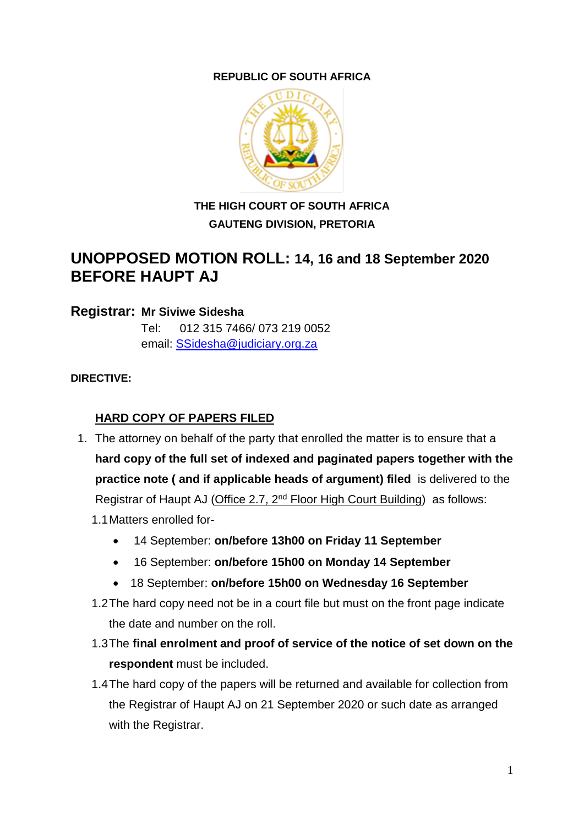### **REPUBLIC OF SOUTH AFRICA**



# **THE HIGH COURT OF SOUTH AFRICA GAUTENG DIVISION, PRETORIA**

# **UNOPPOSED MOTION ROLL: 14, 16 and 18 September 2020 BEFORE HAUPT AJ**

#### **Registrar: Mr Siviwe Sidesha**

Tel: 012 315 7466/ 073 219 0052 email: [SSidesha@judiciary.org.za](mailto:SSidesha@judiciary.org.za)

#### **DIRECTIVE:**

## **HARD COPY OF PAPERS FILED**

- 1. The attorney on behalf of the party that enrolled the matter is to ensure that a **hard copy of the full set of indexed and paginated papers together with the practice note ( and if applicable heads of argument) filed** is delivered to the Registrar of Haupt AJ (Office 2.7, 2nd Floor High Court Building) as follows: 1.1Matters enrolled for-
	- 14 September: **on/before 13h00 on Friday 11 September**
	- 16 September: **on/before 15h00 on Monday 14 September**
	- 18 September: **on/before 15h00 on Wednesday 16 September**
	- 1.2The hard copy need not be in a court file but must on the front page indicate the date and number on the roll.
	- 1.3The **final enrolment and proof of service of the notice of set down on the respondent** must be included.
	- 1.4The hard copy of the papers will be returned and available for collection from the Registrar of Haupt AJ on 21 September 2020 or such date as arranged with the Registrar.